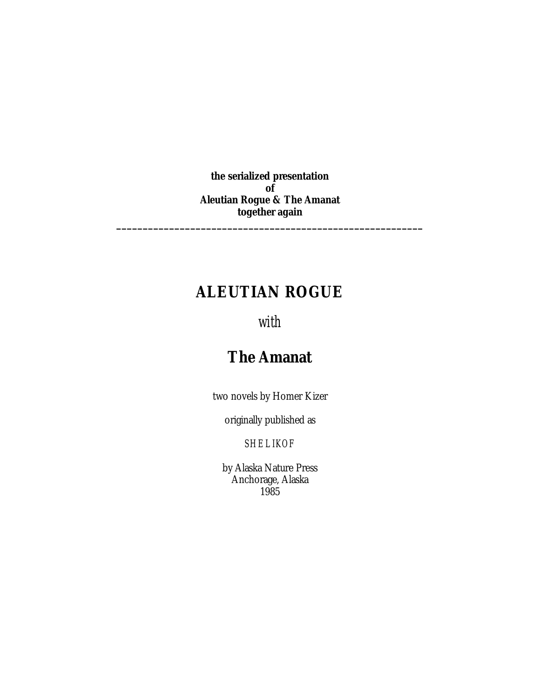**the serialized presentation of** *Aleutian Rogue* **&** *The Amanat* **together again \_\_\_\_\_\_\_\_\_\_\_\_\_\_\_\_\_\_\_\_\_\_\_\_\_\_\_\_\_\_\_\_\_\_\_\_\_\_\_\_\_\_\_\_\_\_\_\_\_\_\_\_\_\_\_\_\_\_**

## **ALEUTIAN ROGUE**

### *with*

# **The Amanat**

two novels by Homer Kizer

originally published as

*SHELIKOF*

by Alaska Nature Press Anchorage, Alaska 1985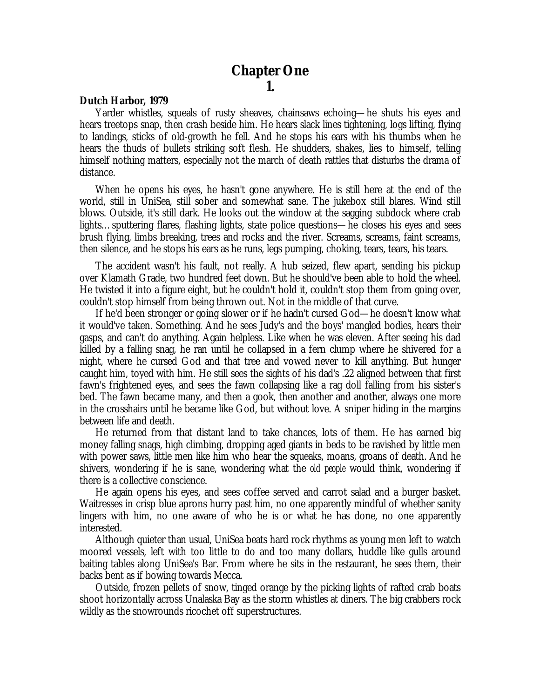#### **Chapter One 1.**

#### *Dutch Harbor, 1979*

Yarder whistles, squeals of rusty sheaves, chainsaws echoing— he shuts his eyes and hears treetops snap, then crash beside him. He hears slack lines tightening, logs lifting, flying to landings, sticks of old-growth he fell. And he stops his ears with his thumbs when he hears the thuds of bullets striking soft flesh. He shudders, shakes, lies to himself, telling himself nothing matters, especially not the march of death rattles that disturbs the drama of distance.

When he opens his eyes, he hasn't gone anywhere. He is still here at the end of the world, still in UniSea, still sober and somewhat sane. The jukebox still blares. Wind still blows. Outside, it's still dark. He looks out the window at the sagging subdock where crab lights… sputtering flares, flashing lights, state police questions— he closes his eyes and sees brush flying, limbs breaking, trees and rocks and the river. Screams, screams, faint screams, then silence, and he stops his ears as he runs, legs pumping, choking, tears, tears, his tears.

The accident wasn't his fault, not really. A hub seized, flew apart, sending his pickup over Klamath Grade, two hundred feet down. But he should've been able to hold the wheel. He twisted it into a figure eight, but he couldn't hold it, couldn't stop them from going over, couldn't stop himself from being thrown out. Not in the middle of that curve.

If he'd been stronger or going slower or if he hadn't cursed God— he doesn't know what it would've taken. Something. And he sees Judy's and the boys' mangled bodies, hears their gasps, and can't do anything. Again helpless. Like when he was eleven. After seeing his dad killed by a falling snag, he ran until he collapsed in a fern clump where he shivered for a night, where he cursed God and that tree and vowed never to kill anything. But hunger caught him, toyed with him. He still sees the sights of his dad's .22 aligned between that first fawn's frightened eyes, and sees the fawn collapsing like a rag doll falling from his sister's bed. The fawn became many, and then a gook, then another and another, always one more in the crosshairs until he became like God, but without love. A sniper hiding in the margins between life and death.

He returned from that distant land to take chances, lots of them. He has earned big money falling snags, high climbing, dropping aged giants in beds to be ravished by little men with power saws, little men like him who hear the squeaks, moans, groans of death. And he shivers, wondering if he is sane, wondering what the *old people* would think, wondering if there is a collective conscience.

He again opens his eyes, and sees coffee served and carrot salad and a burger basket. Waitresses in crisp blue aprons hurry past him, no one apparently mindful of whether sanity lingers with him, no one aware of who he is or what he has done, no one apparently interested.

Although quieter than usual, UniSea beats hard rock rhythms as young men left to watch moored vessels, left with too little to do and too many dollars, huddle like gulls around baiting tables along UniSea's Bar. From where he sits in the restaurant, he sees them, their backs bent as if bowing towards Mecca.

Outside, frozen pellets of snow, tinged orange by the picking lights of rafted crab boats shoot horizontally across Unalaska Bay as the storm whistles at diners. The big crabbers rock wildly as the snowrounds ricochet off superstructures.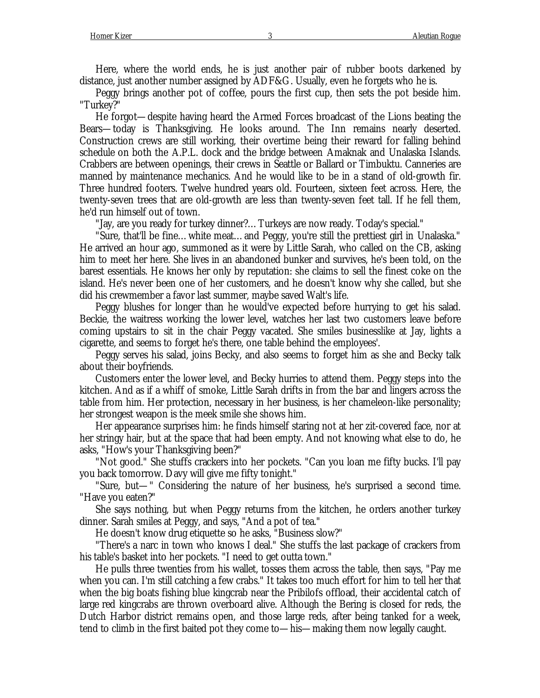Here, where the world ends, he is just another pair of rubber boots darkened by distance, just another number assigned by ADF&G. Usually, even he forgets who he is.

Peggy brings another pot of coffee, pours the first cup, then sets the pot beside him. "Turkey?"

He forgot— despite having heard the Armed Forces broadcast of the Lions beating the Bears— today is Thanksgiving. He looks around. The Inn remains nearly deserted. Construction crews are still working, their overtime being their reward for falling behind schedule on both the A.P.L. dock and the bridge between Amaknak and Unalaska Islands. Crabbers are between openings, their crews in Seattle or Ballard or Timbuktu. Canneries are manned by maintenance mechanics. And he would like to be in a stand of old-growth fir. Three hundred footers. Twelve hundred years old. Fourteen, sixteen feet across. Here, the twenty-seven trees that are old-growth are less than twenty-seven feet tall. If he fell them, he'd run himself out of town.

"Jay, are you ready for turkey dinner?… Turkeys are now ready. Today's special."

"Sure, that'll be fine… white meat… and Peggy, you're still the prettiest girl in Unalaska." He arrived an hour ago, summoned as it were by Little Sarah, who called on the CB, asking him to meet her here. She lives in an abandoned bunker and survives, he's been told, on the barest essentials. He knows her only by reputation: she claims to sell the finest coke on the island. He's never been one of her customers, and he doesn't know why she called, but she did his crewmember a favor last summer, maybe saved Walt's life.

Peggy blushes for longer than he would've expected before hurrying to get his salad. Beckie, the waitress working the lower level, watches her last two customers leave before coming upstairs to sit in the chair Peggy vacated. She smiles businesslike at Jay, lights a cigarette, and seems to forget he's there, one table behind the employees'.

Peggy serves his salad, joins Becky, and also seems to forget him as she and Becky talk about their boyfriends.

Customers enter the lower level, and Becky hurries to attend them. Peggy steps into the kitchen. And as if a whiff of smoke, Little Sarah drifts in from the bar and lingers across the table from him. Her protection, necessary in her business, is her chameleon-like personality; her strongest weapon is the meek smile she shows him.

Her appearance surprises him: he finds himself staring not at her zit-covered face, nor at her stringy hair, but at the space that had been empty. And not knowing what else to do, he asks, "How's your Thanksgiving been?"

"Not good." She stuffs crackers into her pockets. "Can you loan me fifty bucks. I'll pay you back tomorrow. Davy will give me fifty tonight."

"Sure, but— " Considering the nature of her business, he's surprised a second time. "Have you eaten?"

She says nothing, but when Peggy returns from the kitchen, he orders another turkey dinner. Sarah smiles at Peggy, and says, "And a pot of tea."

He doesn't know drug etiquette so he asks, "Business slow?"

"There's a narc in town who knows I deal." She stuffs the last package of crackers from his table's basket into her pockets. "I need to get outta town."

He pulls three twenties from his wallet, tosses them across the table, then says, "Pay me when you can. I'm still catching a few crabs." It takes too much effort for him to tell her that when the big boats fishing blue kingcrab near the Pribilofs offload, their accidental catch of large red kingcrabs are thrown overboard alive. Although the Bering is closed for reds, the Dutch Harbor district remains open, and those large reds, after being tanked for a week, tend to climb in the first baited pot they come to— his— making them now legally caught.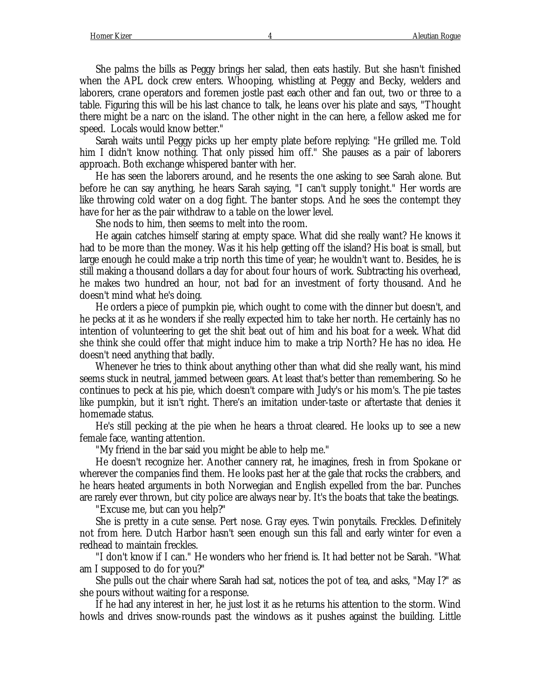She palms the bills as Peggy brings her salad, then eats hastily. But she hasn't finished when the APL dock crew enters. Whooping, whistling at Peggy and Becky, welders and laborers, crane operators and foremen jostle past each other and fan out, two or three to a table. Figuring this will be his last chance to talk, he leans over his plate and says, "Thought there might be a narc on the island. The other night in the can here, a fellow asked me for speed. Locals would know better."

Sarah waits until Peggy picks up her empty plate before replying: "He grilled me. Told him I didn't know nothing. That only pissed him off." She pauses as a pair of laborers approach. Both exchange whispered banter with her.

He has seen the laborers around, and he resents the one asking to see Sarah alone. But before he can say anything, he hears Sarah saying, "I can't supply tonight." Her words are like throwing cold water on a dog fight. The banter stops. And he sees the contempt they have for her as the pair withdraw to a table on the lower level.

She nods to him, then seems to melt into the room.

He again catches himself staring at empty space. What did she really want? He knows it had to be more than the money. Was it his help getting off the island? His boat is small, but large enough he could make a trip north this time of year; he wouldn't want to. Besides, he is still making a thousand dollars a day for about four hours of work. Subtracting his overhead, he makes two hundred an hour, not bad for an investment of forty thousand. And he doesn't mind what he's doing.

He orders a piece of pumpkin pie, which ought to come with the dinner but doesn't, and he pecks at it as he wonders if she really expected him to take her north. He certainly has no intention of volunteering to get the shit beat out of him and his boat for a week. What did she think she could offer that might induce him to make a trip North? He has no idea. He doesn't need anything that badly.

Whenever he tries to think about anything other than what did she really want, his mind seems stuck in neutral, jammed between gears. At least that's better than remembering. So he continues to peck at his pie, which doesn't compare with Judy's or his mom's. The pie tastes like pumpkin, but it isn't right. There's an imitation under-taste or aftertaste that denies it homemade status.

He's still pecking at the pie when he hears a throat cleared. He looks up to see a new female face, wanting attention.

"My friend in the bar said you might be able to help me."

He doesn't recognize her. Another cannery rat, he imagines, fresh in from Spokane or wherever the companies find them. He looks past her at the gale that rocks the crabbers, and he hears heated arguments in both Norwegian and English expelled from the bar. Punches are rarely ever thrown, but city police are always near by. It's the boats that take the beatings.

"Excuse me, but can you help?"

She is pretty in a cute sense. Pert nose. Gray eyes. Twin ponytails. Freckles. Definitely not from here. Dutch Harbor hasn't seen enough sun this fall and early winter for even a redhead to maintain freckles.

"I don't know if I can." He wonders who her friend is. It had better not be Sarah. "What am I supposed to do for you?"

She pulls out the chair where Sarah had sat, notices the pot of tea, and asks, "May I?" as she pours without waiting for a response.

If he had any interest in her, he just lost it as he returns his attention to the storm. Wind howls and drives snow-rounds past the windows as it pushes against the building. Little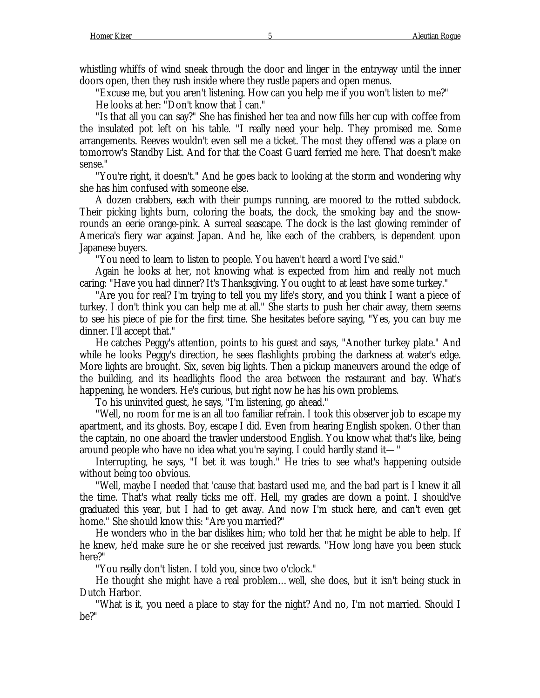whistling whiffs of wind sneak through the door and linger in the entryway until the inner doors open, then they rush inside where they rustle papers and open menus.

"Excuse me, but you aren't listening. How can you help me if you won't listen to me?"

He looks at her: "Don't know that I can."

"Is that all you can say?" She has finished her tea and now fills her cup with coffee from the insulated pot left on his table. "I really need your help. They promised me. Some arrangements. Reeves wouldn't even sell me a ticket. The most they offered was a place on tomorrow's Standby List. And for that the Coast Guard ferried me here. That doesn't make sense."

"You're right, it doesn't." And he goes back to looking at the storm and wondering why she has him confused with someone else.

A dozen crabbers, each with their pumps running, are moored to the rotted subdock. Their picking lights burn, coloring the boats, the dock, the smoking bay and the snowrounds an eerie orange-pink. A surreal seascape. The dock is the last glowing reminder of America's fiery war against Japan. And he, like each of the crabbers, is dependent upon Japanese buyers.

"You need to learn to listen to people. You haven't heard a word I've said."

Again he looks at her, not knowing what is expected from him and really not much caring: "Have you had dinner? It's Thanksgiving. You ought to at least have some turkey."

"Are you for real? I'm trying to tell you my life's story, and you think I want a piece of turkey. I don't think you can help me at all." She starts to push her chair away, them seems to see his piece of pie for the first time. She hesitates before saying, "Yes, you can buy me dinner. I'll accept that."

He catches Peggy's attention, points to his guest and says, "Another turkey plate." And while he looks Peggy's direction, he sees flashlights probing the darkness at water's edge. More lights are brought. Six, seven big lights. Then a pickup maneuvers around the edge of the building, and its headlights flood the area between the restaurant and bay. What's happening, he wonders. He's curious, but right now he has his own problems.

To his uninvited guest, he says, "I'm listening, go ahead."

"Well, no room for me is an all too familiar refrain. I took this observer job to escape my apartment, and its ghosts. Boy, escape I did. Even from hearing English spoken. Other than the captain, no one aboard the trawler understood English. You know what that's like, being around people who have no idea what you're saying. I could hardly stand it— "

Interrupting, he says, "I bet it was tough." He tries to see what's happening outside without being too obvious.

"Well, maybe I needed that 'cause that bastard used me, and the bad part is I knew it all the time. That's what really ticks me off. Hell, my grades are down a point. I should've graduated this year, but I had to get away. And now I'm stuck here, and can't even get home." She should know this: "Are you married?"

He wonders who in the bar dislikes him; who told her that he might be able to help. If he knew, he'd make sure he or she received just rewards. "How long have you been stuck here?"

"You really don't listen. I told you, since two o'clock."

He thought she might have a real problem… well, she does, but it isn't being stuck in Dutch Harbor.

"What is it, you need a place to stay for the night? And no, I'm not married. Should I be?"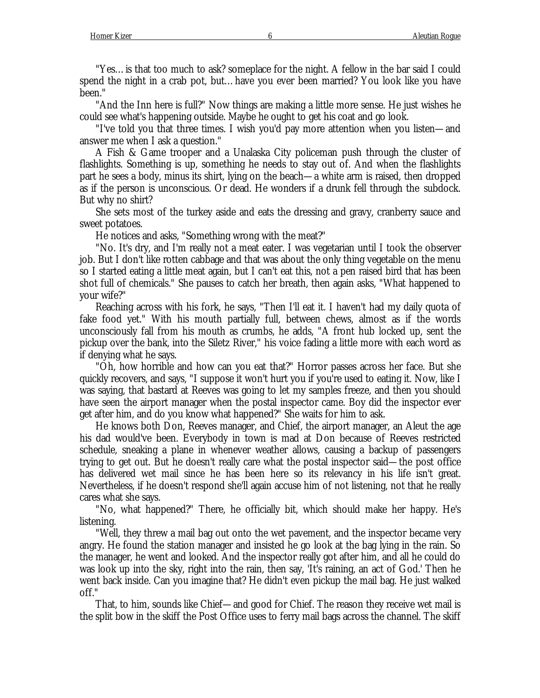"Yes… is that too much to ask? someplace for the night. A fellow in the bar said I could spend the night in a crab pot, but… have you ever been married? You look like you have been."

"And the Inn here is full?" Now things are making a little more sense. He just wishes he could see what's happening outside. Maybe he ought to get his coat and go look.

"I've told you that three times. I wish you'd pay more attention when you listen— and answer me when I ask a question."

A Fish & Game trooper and a Unalaska City policeman push through the cluster of flashlights. Something is up, something he needs to stay out of. And when the flashlights part he sees a body, minus its shirt, lying on the beach— a white arm is raised, then dropped as if the person is unconscious. Or dead. He wonders if a drunk fell through the subdock. But why no shirt?

She sets most of the turkey aside and eats the dressing and gravy, cranberry sauce and sweet potatoes.

He notices and asks, "Something wrong with the meat?"

"No. It's dry, and I'm really not a meat eater. I was vegetarian until I took the observer job. But I don't like rotten cabbage and that was about the only thing vegetable on the menu so I started eating a little meat again, but I can't eat this, not a pen raised bird that has been shot full of chemicals." She pauses to catch her breath, then again asks, "What happened to your wife?"

Reaching across with his fork, he says, "Then I'll eat it. I haven't had my daily quota of fake food yet." With his mouth partially full, between chews, almost as if the words unconsciously fall from his mouth as crumbs, he adds, "A front hub locked up, sent the pickup over the bank, into the Siletz River," his voice fading a little more with each word as if denying what he says.

"Oh, how horrible and how can you eat that?" Horror passes across her face. But she quickly recovers, and says, "I suppose it won't hurt you if you're used to eating it. Now, like I was saying, that bastard at Reeves was going to let my samples freeze, and then you should have seen the airport manager when the postal inspector came. Boy did the inspector ever get after him, and do you know what happened?" She waits for him to ask.

He knows both Don, Reeves manager, and Chief, the airport manager, an Aleut the age his dad would've been. Everybody in town is mad at Don because of Reeves restricted schedule, sneaking a plane in whenever weather allows, causing a backup of passengers trying to get out. But he doesn't really care what the postal inspector said— the post office has delivered wet mail since he has been here so its relevancy in his life isn't great. Nevertheless, if he doesn't respond she'll again accuse him of not listening, not that he really cares what she says.

"No, what happened?" There, he officially bit, which should make her happy. He's listening.

"Well, they threw a mail bag out onto the wet pavement, and the inspector became very angry. He found the station manager and insisted he go look at the bag lying in the rain. So the manager, he went and looked. And the inspector really got after him, and all he could do was look up into the sky, right into the rain, then say, 'It's raining, an act of God.' Then he went back inside. Can you imagine that? He didn't even pickup the mail bag. He just walked off."

That, to him, sounds like Chief— and good for Chief. The reason they receive wet mail is the split bow in the skiff the Post Office uses to ferry mail bags across the channel. The skiff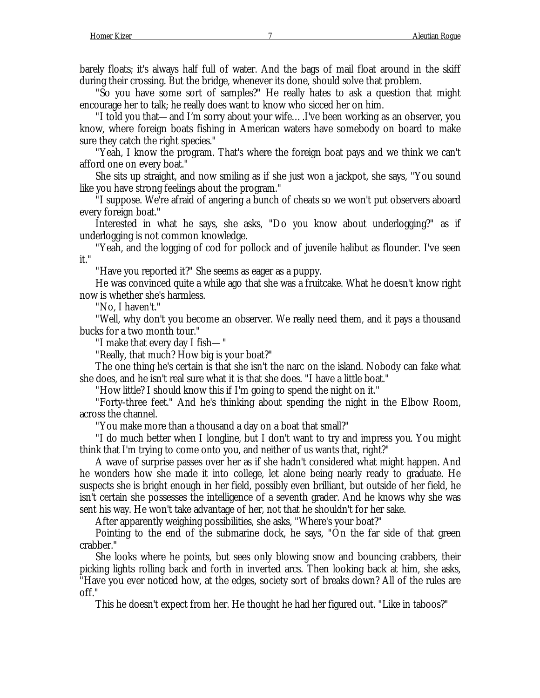barely floats; it's always half full of water. And the bags of mail float around in the skiff during their crossing. But the bridge, whenever its done, should solve that problem.

"So you have some sort of samples?" He really hates to ask a question that might encourage her to talk; he really does want to know who sicced her on him.

"I told you that— and I'm sorry about your wife… .I've been working as an observer, you know, where foreign boats fishing in American waters have somebody on board to make sure they catch the right species."

"Yeah, I know the program. That's where the foreign boat pays and we think we can't afford one on every boat."

She sits up straight, and now smiling as if she just won a jackpot, she says, "You sound like you have strong feelings about the program."

"I suppose. We're afraid of angering a bunch of cheats so we won't put observers aboard every foreign boat."

Interested in what he says, she asks, "Do you know about underlogging?" as if underlogging is not common knowledge.

"Yeah, and the logging of cod for pollock and of juvenile halibut as flounder. I've seen it."

"Have you reported it?" She seems as eager as a puppy.

He was convinced quite a while ago that she was a fruitcake. What he doesn't know right now is whether she's harmless.

"No, I haven't."

"Well, why don't you become an observer. We really need them, and it pays a thousand bucks for a two month tour."

"I make that every day I fish— "

"Really, that much? How big is your boat?"

The one thing he's certain is that she isn't the narc on the island. Nobody can fake what she does, and he isn't real sure what it is that she does. "I have a little boat."

"How little? I should know this if I'm going to spend the night on it."

"Forty-three feet." And he's thinking about spending the night in the Elbow Room, across the channel.

"You make more than a thousand a day on a boat that small?"

"I do much better when I longline, but I don't want to try and impress you. You might think that I'm trying to come onto you, and neither of us wants that, right?"

A wave of surprise passes over her as if she hadn't considered what might happen. And he wonders how she made it into college, let alone being nearly ready to graduate. He suspects she is bright enough in her field, possibly even brilliant, but outside of her field, he isn't certain she possesses the intelligence of a seventh grader. And he knows why she was sent his way. He won't take advantage of her, not that he shouldn't for her sake.

After apparently weighing possibilities, she asks, "Where's your boat?"

Pointing to the end of the submarine dock, he says, "On the far side of that green crabber."

She looks where he points, but sees only blowing snow and bouncing crabbers, their picking lights rolling back and forth in inverted arcs. Then looking back at him, she asks, "Have you ever noticed how, at the edges, society sort of breaks down? All of the rules are off."

This he doesn't expect from her. He thought he had her figured out. "Like in taboos?"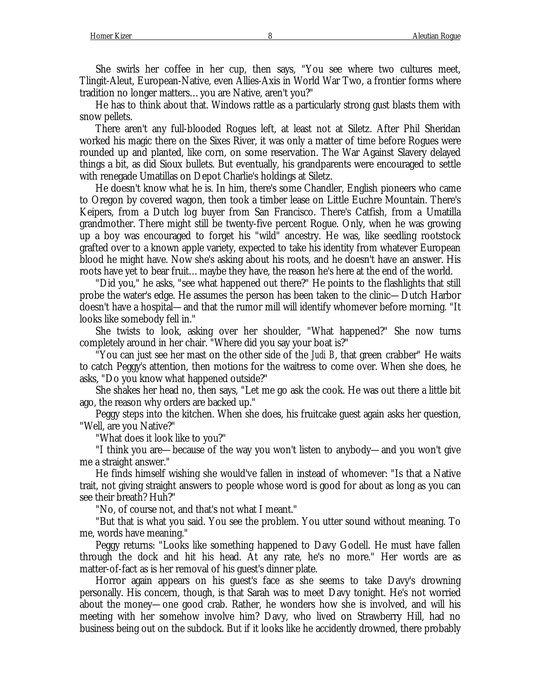She swirls her coffee in her cup, then says, "You see where two cultures meet, Tlingit-Aleut, European-Native, even Allies-Axis in World War Two, a frontier forms where tradition no longer matters… you are Native, aren't you?"

He has to think about that. Windows rattle as a particularly strong gust blasts them with snow pellets.

There aren't any full-blooded Rogues left, at least not at Siletz. After Phil Sheridan worked his magic there on the Sixes River, it was only a matter of time before Rogues were rounded up and planted, like corn, on some reservation. The War Against Slavery delayed things a bit, as did Sioux bullets. But eventually, his grandparents were encouraged to settle with renegade Umatillas on Depot Charlie's holdings at Siletz.

He doesn't know what he is. In him, there's some Chandler, English pioneers who came to Oregon by covered wagon, then took a timber lease on Little Euchre Mountain. There's Keipers, from a Dutch log buyer from San Francisco. There's Catfish, from a Umatilla grandmother. There might still be twenty-five percent Rogue. Only, when he was growing up a boy was encouraged to forget his "wild" ancestry. He was, like seedling rootstock grafted over to a known apple variety, expected to take his identity from whatever European blood he might have. Now she's asking about his roots, and he doesn't have an answer. His roots have yet to bear fruit… maybe they have, the reason he's here at the end of the world.

"Did you," he asks, "see what happened out there?" He points to the flashlights that still probe the water's edge. He assumes the person has been taken to the clinic— Dutch Harbor doesn't have a hospital— and that the rumor mill will identify whomever before morning. "It looks like somebody fell in."

She twists to look, asking over her shoulder, "What happened?" She now turns completely around in her chair. "Where did you say your boat is?"

"You can just see her mast on the other side of the *Judi B*, that green crabber" He waits to catch Peggy's attention, then motions for the waitress to come over. When she does, he asks, "Do you know what happened outside?"

She shakes her head no, then says, "Let me go ask the cook. He was out there a little bit ago, the reason why orders are backed up."

Peggy steps into the kitchen. When she does, his fruitcake guest again asks her question, "Well, are you Native?"

"What does it look like to you?"

"I think you are— because of the way you won't listen to anybody— and you won't give me a straight answer."

He finds himself wishing she would've fallen in instead of whomever: "Is that a Native trait, not giving straight answers to people whose word is good for about as long as you can see their breath? Huh?"

"No, of course not, and that's not what I meant."

"But that is what you said. You see the problem. You utter sound without meaning. To me, words have meaning."

Peggy returns: "Looks like something happened to Davy Godell. He must have fallen through the dock and hit his head. At any rate, he's no more." Her words are as matter-of-fact as is her removal of his guest's dinner plate.

Horror again appears on his guest's face as she seems to take Davy's drowning personally. His concern, though, is that Sarah was to meet Davy tonight. He's not worried about the money— one good crab. Rather, he wonders how she is involved, and will his meeting with her somehow involve him? Davy, who lived on Strawberry Hill, had no business being out on the subdock. But if it looks like he accidently drowned, there probably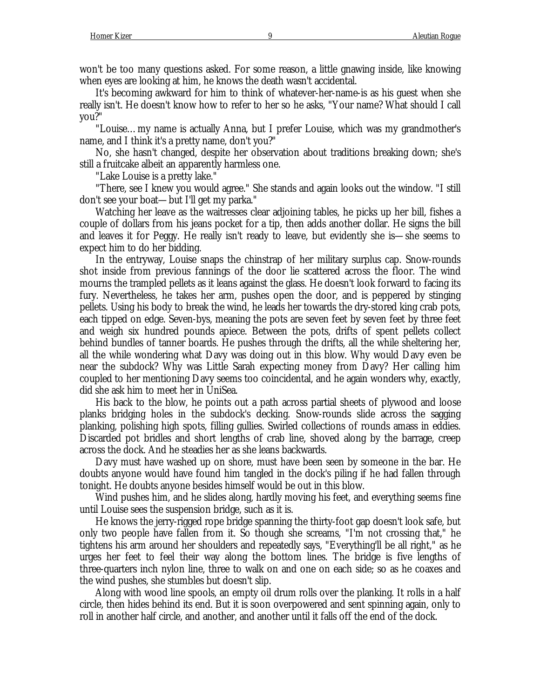won't be too many questions asked. For some reason, a little gnawing inside, like knowing when eyes are looking at him, he knows the death wasn't accidental.

It's becoming awkward for him to think of whatever-her-name-is as his guest when she really isn't. He doesn't know how to refer to her so he asks, "Your name? What should I call you?"

"Louise… my name is actually Anna, but I prefer Louise, which was my grandmother's name, and I think it's a pretty name, don't you?"

No, she hasn't changed, despite her observation about traditions breaking down; she's still a fruitcake albeit an apparently harmless one.

"Lake Louise is a pretty lake."

"There, see I knew you would agree." She stands and again looks out the window. "I still don't see your boat— but I'll get my parka."

Watching her leave as the waitresses clear adjoining tables, he picks up her bill, fishes a couple of dollars from his jeans pocket for a tip, then adds another dollar. He signs the bill and leaves it for Peggy. He really isn't ready to leave, but evidently she is— she seems to expect him to do her bidding.

In the entryway, Louise snaps the chinstrap of her military surplus cap. Snow-rounds shot inside from previous fannings of the door lie scattered across the floor. The wind mourns the trampled pellets as it leans against the glass. He doesn't look forward to facing its fury. Nevertheless, he takes her arm, pushes open the door, and is peppered by stinging pellets. Using his body to break the wind, he leads her towards the dry-stored king crab pots, each tipped on edge. Seven-bys, meaning the pots are seven feet by seven feet by three feet and weigh six hundred pounds apiece. Between the pots, drifts of spent pellets collect behind bundles of tanner boards. He pushes through the drifts, all the while sheltering her, all the while wondering what Davy was doing out in this blow. Why would Davy even be near the subdock? Why was Little Sarah expecting money from Davy? Her calling him coupled to her mentioning Davy seems too coincidental, and he again wonders why, exactly, did she ask him to meet her in UniSea.

His back to the blow, he points out a path across partial sheets of plywood and loose planks bridging holes in the subdock's decking. Snow-rounds slide across the sagging planking, polishing high spots, filling gullies. Swirled collections of rounds amass in eddies. Discarded pot bridles and short lengths of crab line, shoved along by the barrage, creep across the dock. And he steadies her as she leans backwards.

Davy must have washed up on shore, must have been seen by someone in the bar. He doubts anyone would have found him tangled in the dock's piling if he had fallen through tonight. He doubts anyone besides himself would be out in this blow.

Wind pushes him, and he slides along, hardly moving his feet, and everything seems fine until Louise sees the suspension bridge, such as it is.

He knows the jerry-rigged rope bridge spanning the thirty-foot gap doesn't look safe, but only two people have fallen from it. So though she screams, "I'm not crossing that," he tightens his arm around her shoulders and repeatedly says, "Everything'll be all right," as he urges her feet to feel their way along the bottom lines. The bridge is five lengths of three-quarters inch nylon line, three to walk on and one on each side; so as he coaxes and the wind pushes, she stumbles but doesn't slip.

Along with wood line spools, an empty oil drum rolls over the planking. It rolls in a half circle, then hides behind its end. But it is soon overpowered and sent spinning again, only to roll in another half circle, and another, and another until it falls off the end of the dock.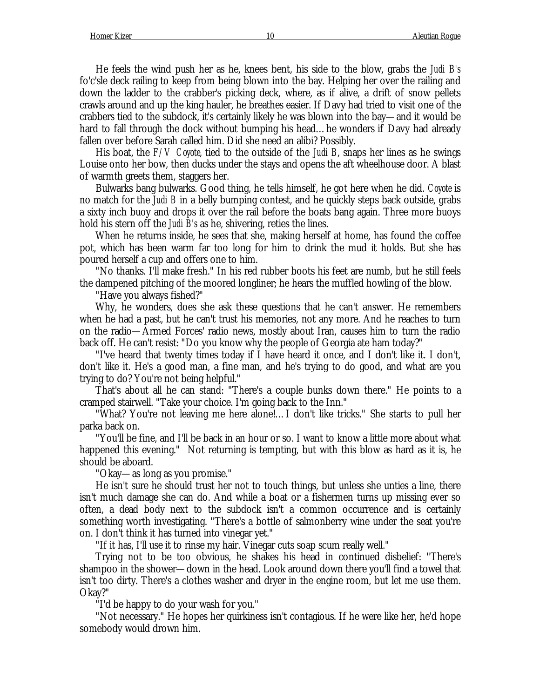He feels the wind push her as he, knees bent, his side to the blow, grabs the *Judi B's* fo'c'sle deck railing to keep from being blown into the bay. Helping her over the railing and down the ladder to the crabber's picking deck, where, as if alive, a drift of snow pellets crawls around and up the king hauler, he breathes easier. If Davy had tried to visit one of the crabbers tied to the subdock, it's certainly likely he was blown into the bay— and it would be hard to fall through the dock without bumping his head… he wonders if Davy had already fallen over before Sarah called him. Did she need an alibi? Possibly.

His boat, the *F/V Coyote*, tied to the outside of the *Judi B*, snaps her lines as he swings Louise onto her bow, then ducks under the stays and opens the aft wheelhouse door. A blast of warmth greets them, staggers her.

Bulwarks bang bulwarks. Good thing, he tells himself, he got here when he did. *Coyote* is no match for the *Judi B* in a belly bumping contest, and he quickly steps back outside, grabs a sixty inch buoy and drops it over the rail before the boats bang again. Three more buoys hold his stern off the *Judi B's* as he, shivering, reties the lines.

When he returns inside, he sees that she, making herself at home, has found the coffee pot, which has been warm far too long for him to drink the mud it holds. But she has poured herself a cup and offers one to him.

"No thanks. I'll make fresh." In his red rubber boots his feet are numb, but he still feels the dampened pitching of the moored longliner; he hears the muffled howling of the blow.

"Have you always fished?"

Why, he wonders, does she ask these questions that he can't answer. He remembers when he had a past, but he can't trust his memories, not any more. And he reaches to turn on the radio— Armed Forces' radio news, mostly about Iran, causes him to turn the radio back off. He can't resist: "Do you know why the people of Georgia ate ham today?"

"I've heard that twenty times today if I have heard it once, and I don't like it. I don't, don't like it. He's a good man, a fine man, and he's trying to do good, and what are you trying to do? You're not being helpful."

That's about all he can stand: "There's a couple bunks down there." He points to a cramped stairwell. "Take your choice. I'm going back to the Inn."

"What? You're not leaving me here alone!… I don't like tricks." She starts to pull her parka back on.

"You'll be fine, and I'll be back in an hour or so. I want to know a little more about what happened this evening." Not returning is tempting, but with this blow as hard as it is, he should be aboard.

"Okay— as long as you promise."

He isn't sure he should trust her not to touch things, but unless she unties a line, there isn't much damage she can do. And while a boat or a fishermen turns up missing ever so often, a dead body next to the subdock isn't a common occurrence and is certainly something worth investigating. "There's a bottle of salmonberry wine under the seat you're on. I don't think it has turned into vinegar yet."

"If it has, I'll use it to rinse my hair. Vinegar cuts soap scum really well."

Trying not to be too obvious, he shakes his head in continued disbelief: "There's shampoo in the shower— down in the head. Look around down there you'll find a towel that isn't too dirty. There's a clothes washer and dryer in the engine room, but let me use them. Okay?"

"I'd be happy to do your wash for you."

"Not necessary." He hopes her quirkiness isn't contagious. If he were like her, he'd hope somebody would drown him.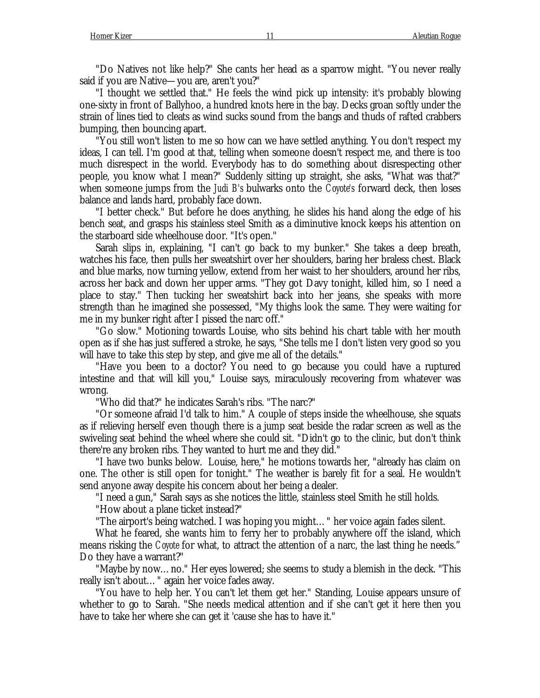"Do Natives not like help?" She cants her head as a sparrow might. "You never really said if you are Native— you are, aren't you?"

"I thought we settled that." He feels the wind pick up intensity: it's probably blowing one-sixty in front of Ballyhoo, a hundred knots here in the bay. Decks groan softly under the strain of lines tied to cleats as wind sucks sound from the bangs and thuds of rafted crabbers bumping, then bouncing apart.

"You still won't listen to me so how can we have settled anything. You don't respect my ideas, I can tell. I'm good at that, telling when someone doesn't respect me, and there is too much disrespect in the world. Everybody has to do something about disrespecting other people, you know what I mean?" Suddenly sitting up straight, she asks, "What was that?" when someone jumps from the *Judi B's* bulwarks onto the *Coyote's* forward deck, then loses balance and lands hard, probably face down.

"I better check." But before he does anything, he slides his hand along the edge of his bench seat, and grasps his stainless steel Smith as a diminutive knock keeps his attention on the starboard side wheelhouse door. "It's open."

Sarah slips in, explaining, "I can't go back to my bunker." She takes a deep breath, watches his face, then pulls her sweatshirt over her shoulders, baring her braless chest. Black and blue marks, now turning yellow, extend from her waist to her shoulders, around her ribs, across her back and down her upper arms. "They got Davy tonight, killed him, so I need a place to stay." Then tucking her sweatshirt back into her jeans, she speaks with more strength than he imagined she possessed, "My thighs look the same. They were waiting for me in my bunker right after I pissed the narc off."

"Go slow." Motioning towards Louise, who sits behind his chart table with her mouth open as if she has just suffered a stroke, he says, "She tells me I don't listen very good so you will have to take this step by step, and give me all of the details."

"Have you been to a doctor? You need to go because you could have a ruptured intestine and that will kill you," Louise says, miraculously recovering from whatever was wrong.

"Who did that?" he indicates Sarah's ribs. "The narc?"

"Or someone afraid I'd talk to him." A couple of steps inside the wheelhouse, she squats as if relieving herself even though there is a jump seat beside the radar screen as well as the swiveling seat behind the wheel where she could sit. "Didn't go to the clinic, but don't think there're any broken ribs. They wanted to hurt me and they did."

"I have two bunks below. Louise, here," he motions towards her, "already has claim on one. The other is still open for tonight." The weather is barely fit for a seal. He wouldn't send anyone away despite his concern about her being a dealer.

"I need a gun," Sarah says as she notices the little, stainless steel Smith he still holds.

"How about a plane ticket instead?"

"The airport's being watched. I was hoping you might… " her voice again fades silent.

What he feared, she wants him to ferry her to probably anywhere off the island, which means risking the *Coyote* for what, to attract the attention of a narc, the last thing he needs." Do they have a warrant?"

"Maybe by now… no." Her eyes lowered; she seems to study a blemish in the deck. "This really isn't about… " again her voice fades away.

"You have to help her. You can't let them get her." Standing, Louise appears unsure of whether to go to Sarah. "She needs medical attention and if she can't get it here then you have to take her where she can get it 'cause she has to have it."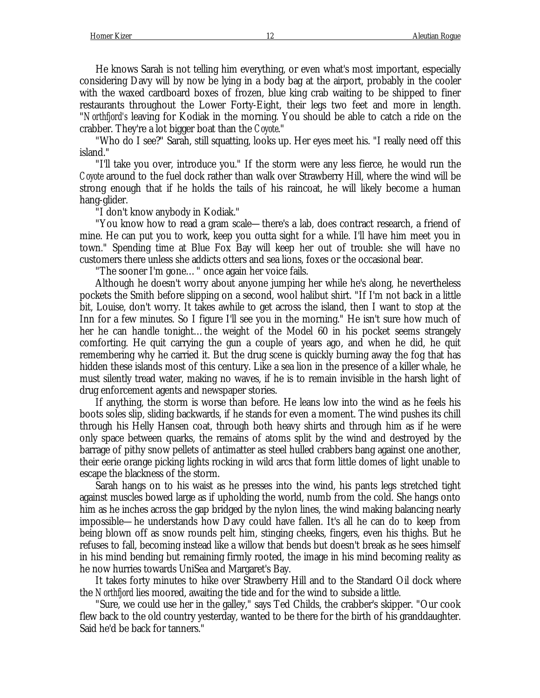He knows Sarah is not telling him everything, or even what's most important, especially considering Davy will by now be lying in a body bag at the airport, probably in the cooler with the waxed cardboard boxes of frozen, blue king crab waiting to be shipped to finer restaurants throughout the Lower Forty-Eight, their legs two feet and more in length. "*Northfjord's* leaving for Kodiak in the morning. You should be able to catch a ride on the crabber. They're a lot bigger boat than the *Coyote*."

"Who do I see?" Sarah, still squatting, looks up. Her eyes meet his. "I really need off this island."

"I'll take you over, introduce you." If the storm were any less fierce, he would run the *Coyote* around to the fuel dock rather than walk over Strawberry Hill, where the wind will be strong enough that if he holds the tails of his raincoat, he will likely become a human hang-glider.

"I don't know anybody in Kodiak."

"You know how to read a gram scale— there's a lab, does contract research, a friend of mine. He can put you to work, keep you outta sight for a while. I'll have him meet you in town." Spending time at Blue Fox Bay will keep her out of trouble: she will have no customers there unless she addicts otters and sea lions, foxes or the occasional bear.

"The sooner I'm gone… " once again her voice fails.

Although he doesn't worry about anyone jumping her while he's along, he nevertheless pockets the Smith before slipping on a second, wool halibut shirt. "If I'm not back in a little bit, Louise, don't worry. It takes awhile to get across the island, then I want to stop at the Inn for a few minutes. So I figure I'll see you in the morning." He isn't sure how much of her he can handle tonight… the weight of the Model 60 in his pocket seems strangely comforting. He quit carrying the gun a couple of years ago, and when he did, he quit remembering why he carried it. But the drug scene is quickly burning away the fog that has hidden these islands most of this century. Like a sea lion in the presence of a killer whale, he must silently tread water, making no waves, if he is to remain invisible in the harsh light of drug enforcement agents and newspaper stories.

If anything, the storm is worse than before. He leans low into the wind as he feels his boots soles slip, sliding backwards, if he stands for even a moment. The wind pushes its chill through his Helly Hansen coat, through both heavy shirts and through him as if he were only space between quarks, the remains of atoms split by the wind and destroyed by the barrage of pithy snow pellets of antimatter as steel hulled crabbers bang against one another, their eerie orange picking lights rocking in wild arcs that form little domes of light unable to escape the blackness of the storm.

Sarah hangs on to his waist as he presses into the wind, his pants legs stretched tight against muscles bowed large as if upholding the world, numb from the cold. She hangs onto him as he inches across the gap bridged by the nylon lines, the wind making balancing nearly impossible— he understands how Davy could have fallen. It's all he can do to keep from being blown off as snow rounds pelt him, stinging cheeks, fingers, even his thighs. But he refuses to fall, becoming instead like a willow that bends but doesn't break as he sees himself in his mind bending but remaining firmly rooted, the image in his mind becoming reality as he now hurries towards UniSea and Margaret's Bay.

It takes forty minutes to hike over Strawberry Hill and to the Standard Oil dock where the *Northfjord* lies moored, awaiting the tide and for the wind to subside a little.

"Sure, we could use her in the galley," says Ted Childs, the crabber's skipper. "Our cook flew back to the old country yesterday, wanted to be there for the birth of his granddaughter. Said he'd be back for tanners."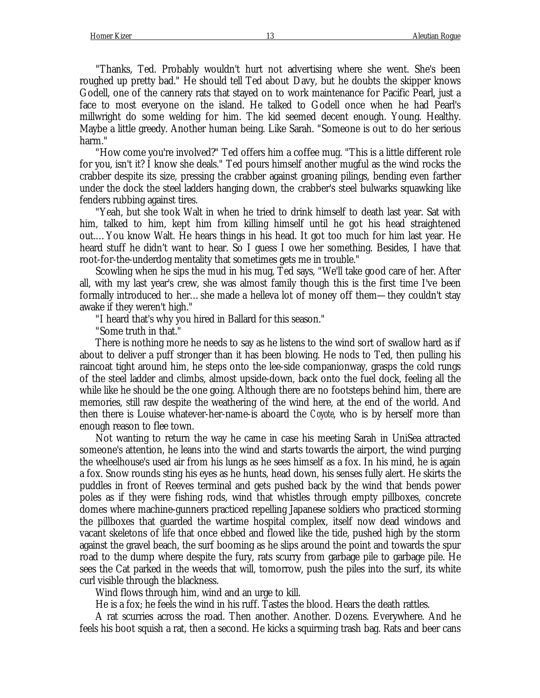"Thanks, Ted. Probably wouldn't hurt not advertising where she went. She's been roughed up pretty bad." He should tell Ted about Davy, but he doubts the skipper knows Godell, one of the cannery rats that stayed on to work maintenance for Pacific Pearl, just a face to most everyone on the island. He talked to Godell once when he had Pearl's millwright do some welding for him. The kid seemed decent enough. Young. Healthy. Maybe a little greedy. Another human being. Like Sarah. "Someone is out to do her serious harm."

"How come you're involved?" Ted offers him a coffee mug. "This is a little different role for you, isn't it? I know she deals." Ted pours himself another mugful as the wind rocks the crabber despite its size, pressing the crabber against groaning pilings, bending even farther under the dock the steel ladders hanging down, the crabber's steel bulwarks squawking like fenders rubbing against tires.

"Yeah, but she took Walt in when he tried to drink himself to death last year. Sat with him, talked to him, kept him from killing himself until he got his head straightened out.… You know Walt. He hears things in his head. It got too much for him last year. He heard stuff he didn't want to hear. So I guess I owe her something. Besides, I have that root-for-the-underdog mentality that sometimes gets me in trouble."

Scowling when he sips the mud in his mug, Ted says, "We'll take good care of her. After all, with my last year's crew, she was almost family though this is the first time I've been formally introduced to her… she made a helleva lot of money off them— they couldn't stay awake if they weren't high."

"I heard that's why you hired in Ballard for this season."

"Some truth in that."

There is nothing more he needs to say as he listens to the wind sort of swallow hard as if about to deliver a puff stronger than it has been blowing. He nods to Ted, then pulling his raincoat tight around him, he steps onto the lee-side companionway, grasps the cold rungs of the steel ladder and climbs, almost upside-down, back onto the fuel dock, feeling all the while like he should be the one going. Although there are no footsteps behind him, there are memories, still raw despite the weathering of the wind here, at the end of the world. And then there is Louise whatever-her-name-is aboard the *Coyote*, who is by herself more than enough reason to flee town.

Not wanting to return the way he came in case his meeting Sarah in UniSea attracted someone's attention, he leans into the wind and starts towards the airport, the wind purging the wheelhouse's used air from his lungs as he sees himself as a fox. In his mind, he is again a fox. Snow rounds sting his eyes as he hunts, head down, his senses fully alert. He skirts the puddles in front of Reeves terminal and gets pushed back by the wind that bends power poles as if they were fishing rods, wind that whistles through empty pillboxes, concrete domes where machine-gunners practiced repelling Japanese soldiers who practiced storming the pillboxes that guarded the wartime hospital complex, itself now dead windows and vacant skeletons of life that once ebbed and flowed like the tide, pushed high by the storm against the gravel beach, the surf booming as he slips around the point and towards the spur road to the dump where despite the fury, rats scurry from garbage pile to garbage pile. He sees the Cat parked in the weeds that will, tomorrow, push the piles into the surf, its white curl visible through the blackness.

Wind flows through him, wind and an urge to kill.

He is a fox; he feels the wind in his ruff. Tastes the blood. Hears the death rattles.

A rat scurries across the road. Then another. Another. Dozens. Everywhere. And he feels his boot squish a rat, then a second. He kicks a squirming trash bag. Rats and beer cans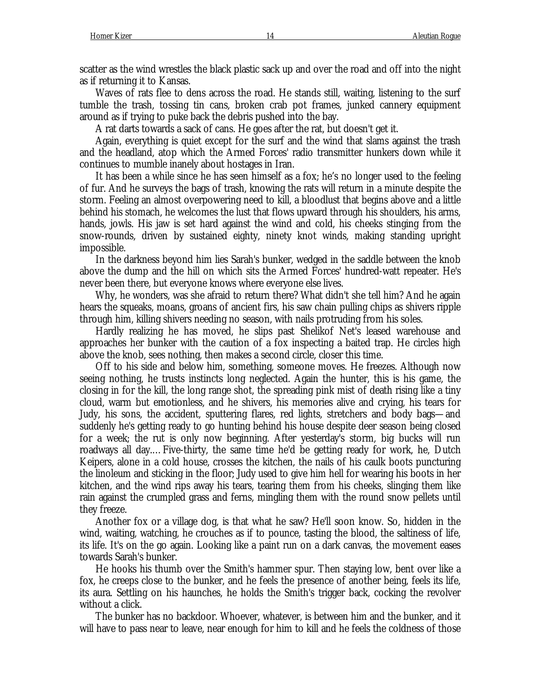scatter as the wind wrestles the black plastic sack up and over the road and off into the night as if returning it to Kansas.

Waves of rats flee to dens across the road. He stands still, waiting, listening to the surf tumble the trash, tossing tin cans, broken crab pot frames, junked cannery equipment around as if trying to puke back the debris pushed into the bay.

A rat darts towards a sack of cans. He goes after the rat, but doesn't get it.

Again, everything is quiet except for the surf and the wind that slams against the trash and the headland, atop which the Armed Forces' radio transmitter hunkers down while it continues to mumble inanely about hostages in Iran.

It has been a while since he has seen himself as a fox; he's no longer used to the feeling of fur. And he surveys the bags of trash, knowing the rats will return in a minute despite the storm. Feeling an almost overpowering need to kill, a bloodlust that begins above and a little behind his stomach, he welcomes the lust that flows upward through his shoulders, his arms, hands, jowls. His jaw is set hard against the wind and cold, his cheeks stinging from the snow-rounds, driven by sustained eighty, ninety knot winds, making standing upright impossible.

In the darkness beyond him lies Sarah's bunker, wedged in the saddle between the knob above the dump and the hill on which sits the Armed Forces' hundred-watt repeater. He's never been there, but everyone knows where everyone else lives.

Why, he wonders, was she afraid to return there? What didn't she tell him? And he again hears the squeaks, moans, groans of ancient firs, his saw chain pulling chips as shivers ripple through him, killing shivers needing no season, with nails protruding from his soles.

Hardly realizing he has moved, he slips past Shelikof Net's leased warehouse and approaches her bunker with the caution of a fox inspecting a baited trap. He circles high above the knob, sees nothing, then makes a second circle, closer this time.

Off to his side and below him, something, someone moves. He freezes. Although now seeing nothing, he trusts instincts long neglected. Again the hunter, this is his game, the closing in for the kill, the long range shot, the spreading pink mist of death rising like a tiny cloud, warm but emotionless, and he shivers, his memories alive and crying, his tears for Judy, his sons, the accident, sputtering flares, red lights, stretchers and body bags— and suddenly he's getting ready to go hunting behind his house despite deer season being closed for a week; the rut is only now beginning. After yesterday's storm, big bucks will run roadways all day.… Five-thirty, the same time he'd be getting ready for work, he, Dutch Keipers, alone in a cold house, crosses the kitchen, the nails of his caulk boots puncturing the linoleum and sticking in the floor; Judy used to give him hell for wearing his boots in her kitchen, and the wind rips away his tears, tearing them from his cheeks, slinging them like rain against the crumpled grass and ferns, mingling them with the round snow pellets until they freeze.

Another fox or a village dog, is that what he saw? He'll soon know. So, hidden in the wind, waiting, watching, he crouches as if to pounce, tasting the blood, the saltiness of life, its life. It's on the go again. Looking like a paint run on a dark canvas, the movement eases towards Sarah's bunker.

He hooks his thumb over the Smith's hammer spur. Then staying low, bent over like a fox, he creeps close to the bunker, and he feels the presence of another being, feels its life, its aura. Settling on his haunches, he holds the Smith's trigger back, cocking the revolver without a click.

The bunker has no backdoor. Whoever, whatever, is between him and the bunker, and it will have to pass near to leave, near enough for him to kill and he feels the coldness of those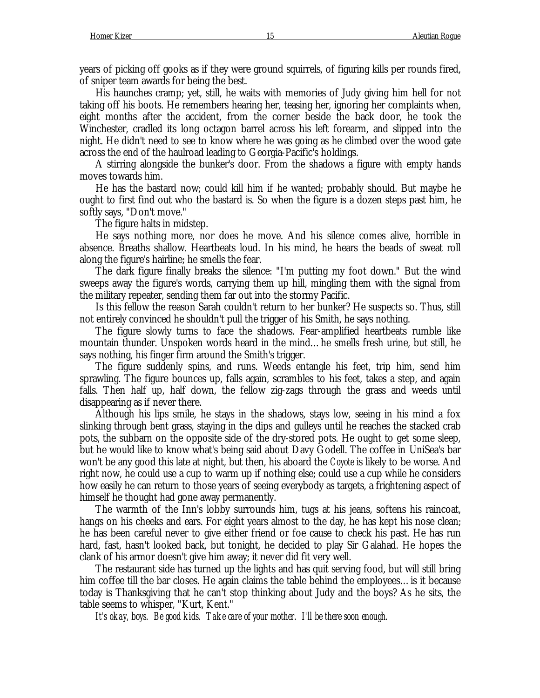years of picking off gooks as if they were ground squirrels, of figuring kills per rounds fired, of sniper team awards for being the best.

His haunches cramp; yet, still, he waits with memories of Judy giving him hell for not taking off his boots. He remembers hearing her, teasing her, ignoring her complaints when, eight months after the accident, from the corner beside the back door, he took the Winchester, cradled its long octagon barrel across his left forearm, and slipped into the night. He didn't need to see to know where he was going as he climbed over the wood gate across the end of the haulroad leading to Georgia-Pacific's holdings.

A stirring alongside the bunker's door. From the shadows a figure with empty hands moves towards him.

He has the bastard now; could kill him if he wanted; probably should. But maybe he ought to first find out who the bastard is. So when the figure is a dozen steps past him, he softly says, "Don't move."

The figure halts in midstep.

He says nothing more, nor does he move. And his silence comes alive, horrible in absence. Breaths shallow. Heartbeats loud. In his mind, he hears the beads of sweat roll along the figure's hairline; he smells the fear.

The dark figure finally breaks the silence: "I'm putting my foot down." But the wind sweeps away the figure's words, carrying them up hill, mingling them with the signal from the military repeater, sending them far out into the stormy Pacific.

Is this fellow the reason Sarah couldn't return to her bunker? He suspects so. Thus, still not entirely convinced he shouldn't pull the trigger of his Smith, he says nothing.

The figure slowly turns to face the shadows. Fear-amplified heartbeats rumble like mountain thunder. Unspoken words heard in the mind… he smells fresh urine, but still, he says nothing, his finger firm around the Smith's trigger.

The figure suddenly spins, and runs. Weeds entangle his feet, trip him, send him sprawling. The figure bounces up, falls again, scrambles to his feet, takes a step, and again falls. Then half up, half down, the fellow zig-zags through the grass and weeds until disappearing as if never there.

Although his lips smile, he stays in the shadows, stays low, seeing in his mind a fox slinking through bent grass, staying in the dips and gulleys until he reaches the stacked crab pots, the subbarn on the opposite side of the dry-stored pots. He ought to get some sleep, but he would like to know what's being said about Davy Godell. The coffee in UniSea's bar won't be any good this late at night, but then, his aboard the *Coyote* is likely to be worse. And right now, he could use a cup to warm up if nothing else; could use a cup while he considers how easily he can return to those years of seeing everybody as targets, a frightening aspect of himself he thought had gone away permanently.

The warmth of the Inn's lobby surrounds him, tugs at his jeans, softens his raincoat, hangs on his cheeks and ears. For eight years almost to the day, he has kept his nose clean; he has been careful never to give either friend or foe cause to check his past. He has run hard, fast, hasn't looked back, but tonight, he decided to play Sir Galahad. He hopes the clank of his armor doesn't give him away; it never did fit very well.

The restaurant side has turned up the lights and has quit serving food, but will still bring him coffee till the bar closes. He again claims the table behind the employees... is it because today is Thanksgiving that he can't stop thinking about Judy and the boys? As he sits, the table seems to whisper, "Kurt, Kent."

*It's okay, boys. Be good kids. Take care of your mother. I'll be there soon enough.*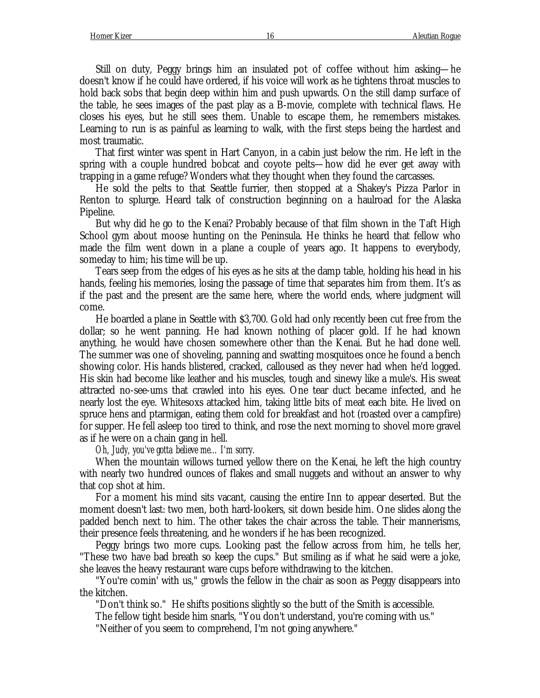Still on duty, Peggy brings him an insulated pot of coffee without him asking— he doesn't know if he could have ordered, if his voice will work as he tightens throat muscles to hold back sobs that begin deep within him and push upwards. On the still damp surface of the table, he sees images of the past play as a B-movie, complete with technical flaws. He closes his eyes, but he still sees them. Unable to escape them, he remembers mistakes. Learning to run is as painful as learning to walk, with the first steps being the hardest and most traumatic.

That first winter was spent in Hart Canyon, in a cabin just below the rim. He left in the spring with a couple hundred bobcat and coyote pelts— how did he ever get away with trapping in a game refuge? Wonders what they thought when they found the carcasses.

He sold the pelts to that Seattle furrier, then stopped at a Shakey's Pizza Parlor in Renton to splurge. Heard talk of construction beginning on a haulroad for the Alaska Pipeline.

But why did he go to the Kenai? Probably because of that film shown in the Taft High School gym about moose hunting on the Peninsula. He thinks he heard that fellow who made the film went down in a plane a couple of years ago. It happens to everybody, someday to him; his time will be up.

Tears seep from the edges of his eyes as he sits at the damp table, holding his head in his hands, feeling his memories, losing the passage of time that separates him from them. It's as if the past and the present are the same here, where the world ends, where judgment will come.

He boarded a plane in Seattle with \$3,700. Gold had only recently been cut free from the dollar; so he went panning. He had known nothing of placer gold. If he had known anything, he would have chosen somewhere other than the Kenai. But he had done well. The summer was one of shoveling, panning and swatting mosquitoes once he found a bench showing color. His hands blistered, cracked, calloused as they never had when he'd logged. His skin had become like leather and his muscles, tough and sinewy like a mule's. His sweat attracted no-see-ums that crawled into his eyes. One tear duct became infected, and he nearly lost the eye. Whitesoxs attacked him, taking little bits of meat each bite. He lived on spruce hens and ptarmigan, eating them cold for breakfast and hot (roasted over a campfire) for supper. He fell asleep too tired to think, and rose the next morning to shovel more gravel as if he were on a chain gang in hell.

*Oh, Judy, you've gotta believe me… I'm sorry.*

When the mountain willows turned yellow there on the Kenai, he left the high country with nearly two hundred ounces of flakes and small nuggets and without an answer to why that cop shot at him.

For a moment his mind sits vacant, causing the entire Inn to appear deserted. But the moment doesn't last: two men, both hard-lookers, sit down beside him. One slides along the padded bench next to him. The other takes the chair across the table. Their mannerisms, their presence feels threatening, and he wonders if he has been recognized.

Peggy brings two more cups. Looking past the fellow across from him, he tells her, "These two have bad breath so keep the cups." But smiling as if what he said were a joke, she leaves the heavy restaurant ware cups before withdrawing to the kitchen.

"You're comin' with us," growls the fellow in the chair as soon as Peggy disappears into the kitchen.

"Don't think so." He shifts positions slightly so the butt of the Smith is accessible.

The fellow tight beside him snarls, "You don't understand, you're coming with us."

"Neither of you seem to comprehend, I'm not going anywhere."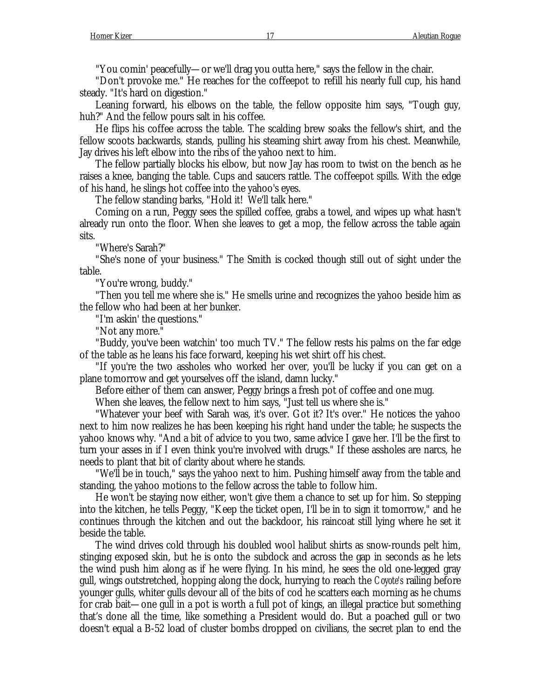"You comin' peacefully— or we'll drag you outta here," says the fellow in the chair.

"Don't provoke me." He reaches for the coffeepot to refill his nearly full cup, his hand steady. "It's hard on digestion."

Leaning forward, his elbows on the table, the fellow opposite him says, "Tough guy, huh?" And the fellow pours salt in his coffee.

He flips his coffee across the table. The scalding brew soaks the fellow's shirt, and the fellow scoots backwards, stands, pulling his steaming shirt away from his chest. Meanwhile, Jay drives his left elbow into the ribs of the yahoo next to him.

The fellow partially blocks his elbow, but now Jay has room to twist on the bench as he raises a knee, banging the table. Cups and saucers rattle. The coffeepot spills. With the edge of his hand, he slings hot coffee into the yahoo's eyes.

The fellow standing barks, "Hold it! We'll talk here."

Coming on a run, Peggy sees the spilled coffee, grabs a towel, and wipes up what hasn't already run onto the floor. When she leaves to get a mop, the fellow across the table again sits.

"Where's Sarah?"

"She's none of your business." The Smith is cocked though still out of sight under the table.

"You're wrong, buddy."

"Then you tell me where she is." He smells urine and recognizes the yahoo beside him as the fellow who had been at her bunker.

"I'm askin' the questions."

"Not any more."

"Buddy, you've been watchin' too much TV." The fellow rests his palms on the far edge of the table as he leans his face forward, keeping his wet shirt off his chest.

"If you're the two assholes who worked her over, you'll be lucky if you can get on a plane tomorrow and get yourselves off the island, damn lucky."

Before either of them can answer, Peggy brings a fresh pot of coffee and one mug.

When she leaves, the fellow next to him says, "Just tell us where she is."

"Whatever your beef with Sarah was, it's over. Got it? It's over." He notices the yahoo next to him now realizes he has been keeping his right hand under the table; he suspects the yahoo knows why. "And a bit of advice to you two, same advice I gave her. I'll be the first to turn your asses in if I even think you're involved with drugs." If these assholes are narcs, he needs to plant that bit of clarity about where he stands.

"We'll be in touch," says the yahoo next to him. Pushing himself away from the table and standing, the yahoo motions to the fellow across the table to follow him.

He won't be staying now either, won't give them a chance to set up for him. So stepping into the kitchen, he tells Peggy, "Keep the ticket open, I'll be in to sign it tomorrow," and he continues through the kitchen and out the backdoor, his raincoat still lying where he set it beside the table.

The wind drives cold through his doubled wool halibut shirts as snow-rounds pelt him, stinging exposed skin, but he is onto the subdock and across the gap in seconds as he lets the wind push him along as if he were flying. In his mind, he sees the old one-legged gray gull, wings outstretched, hopping along the dock, hurrying to reach the *Coyote's* railing before younger gulls, whiter gulls devour all of the bits of cod he scatters each morning as he chums for crab bait— one gull in a pot is worth a full pot of kings, an illegal practice but something that's done all the time, like something a President would do. But a poached gull or two doesn't equal a B-52 load of cluster bombs dropped on civilians, the secret plan to end the